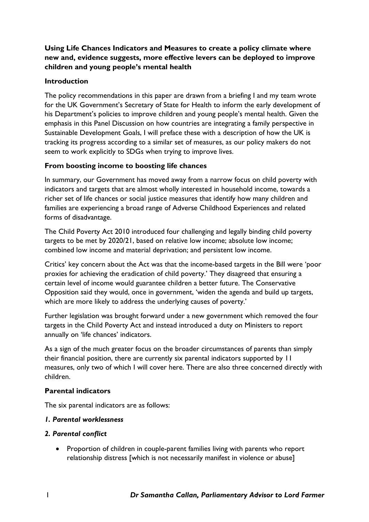# **Using Life Chances Indicators and Measures to create a policy climate where new and, evidence suggests, more effective levers can be deployed to improve children and young people's mental health**

# **Introduction**

The policy recommendations in this paper are drawn from a briefing I and my team wrote for the UK Government's Secretary of State for Health to inform the early development of his Department's policies to improve children and young people's mental health. Given the emphasis in this Panel Discussion on how countries are integrating a family perspective in Sustainable Development Goals, I will preface these with a description of how the UK is tracking its progress according to a similar set of measures, as our policy makers do not seem to work explicitly to SDGs when trying to improve lives.

# **From boosting income to boosting life chances**

In summary, our Government has moved away from a narrow focus on child poverty with indicators and targets that are almost wholly interested in household income, towards a richer set of life chances or social justice measures that identify how many children and families are experiencing a broad range of Adverse Childhood Experiences and related forms of disadvantage.

The Child Poverty Act 2010 introduced four challenging and legally binding child poverty targets to be met by 2020/21, based on relative low income; absolute low income; combined low income and material deprivation; and persistent low income.

Critics' key concern about the Act was that the income-based targets in the Bill were 'poor proxies for achieving the eradication of child poverty.' They disagreed that ensuring a certain level of income would guarantee children a better future. The Conservative Opposition said they would, once in government, 'widen the agenda and build up targets, which are more likely to address the underlying causes of poverty.'

Further legislation was brought forward under a new government which removed the four targets in the Child Poverty Act and instead introduced a duty on Ministers to report annually on 'life chances' indicators.

As a sign of the much greater focus on the broader circumstances of parents than simply their financial position, there are currently six parental indicators supported by 11 measures, only two of which I will cover here. There are also three concerned directly with children.

## **Parental indicators**

The six parental indicators are as follows:

## *1. Parental worklessness*

## *2. Parental conflict*

• Proportion of children in couple-parent families living with parents who report relationship distress [which is not necessarily manifest in violence or abuse]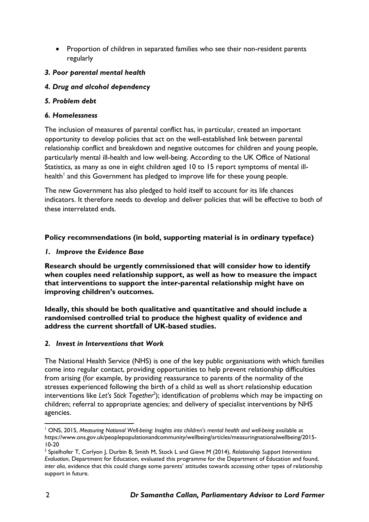• Proportion of children in separated families who see their non-resident parents regularly

# *3. Poor parental mental health*

## *4. Drug and alcohol dependency*

## *5. Problem debt*

## *6. Homelessness*

The inclusion of measures of parental conflict has, in particular, created an important opportunity to develop policies that act on the well-established link between parental relationship conflict and breakdown and negative outcomes for children and young people, particularly mental ill-health and low well-being. According to the UK Office of National Statistics, as many as one in eight children aged 10 to 15 report symptoms of mental illhealth<sup>1</sup> and this Government has pledged to improve life for these young people.

The new Government has also pledged to hold itself to account for its life chances indicators. It therefore needs to develop and deliver policies that will be effective to both of these interrelated ends.

# **Policy recommendations (in bold, supporting material is in ordinary typeface)**

# *1. Improve the Evidence Base*

**Research should be urgently commissioned that will consider how to identify when couples need relationship support, as well as how to measure the impact that interventions to support the inter-parental relationship might have on improving children's outcomes.**

**Ideally, this should be both qualitative and quantitative and should include a randomised controlled trial to produce the highest quality of evidence and address the current shortfall of UK-based studies.**

## *2. Invest in Interventions that Work*

The National Health Service (NHS) is one of the key public organisations with which families come into regular contact, providing opportunities to help prevent relationship difficulties from arising (for example, by providing reassurance to parents of the normality of the stresses experienced following the birth of a child as well as short relationship education interventions like *Let's Stick Together*<sup>2</sup> ); identification of problems which may be impacting on children; referral to appropriate agencies; and delivery of specialist interventions by NHS agencies.

<sup>&</sup>lt;u>.</u> <sup>1</sup> ONS, 2015, *Measuring National Well-being: Insights into children's mental health and well-being* available at https://www.ons.gov.uk/peoplepopulationandcommunity/wellbeing/articles/measuringnationalwellbeing/2015- 10-20

<sup>2</sup> Spielhofer T, Corlyon J, Durbin B, Smith M, Stock L and Gieve M (2014), *Relationship Support Interventions Evaluation*, Department for Education, evaluated this programme for the Department of Education and found, *inter alia*, evidence that this could change some parents' attitudes towards accessing other types of relationship support in future.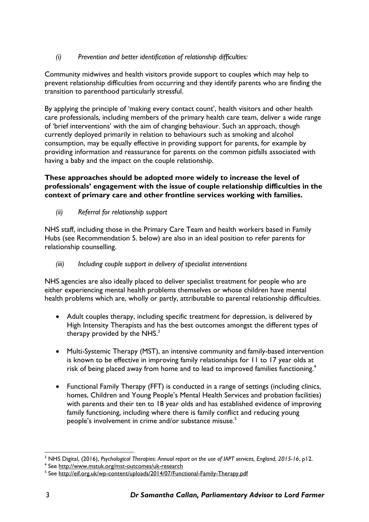# *(i) Prevention and better identification of relationship difficulties:*

Community midwives and health visitors provide support to couples which may help to prevent relationship difficulties from occurring and they identify parents who are finding the transition to parenthood particularly stressful.

By applying the principle of 'making every contact count', health visitors and other health care professionals, including members of the primary health care team, deliver a wide range of 'brief interventions' with the aim of changing behaviour. Such an approach, though currently deployed primarily in relation to behaviours such as smoking and alcohol consumption, may be equally effective in providing support for parents, for example by providing information and reassurance for parents on the common pitfalls associated with having a baby and the impact on the couple relationship.

# **These approaches should be adopted more widely to increase the level of professionals' engagement with the issue of couple relationship difficulties in the context of primary care and other frontline services working with families.**

# *(ii) Referral for relationship support*

NHS staff, including those in the Primary Care Team and health workers based in Family Hubs (see Recommendation 5. below) are also in an ideal position to refer parents for relationship counselling.

# *(iii) Including couple support in delivery of specialist interventions*

NHS agencies are also ideally placed to deliver specialist treatment for people who are either experiencing mental health problems themselves or whose children have mental health problems which are, wholly or partly, attributable to parental relationship difficulties.

- Adult couples therapy, including specific treatment for depression, is delivered by High Intensity Therapists and has the best outcomes amongst the different types of therapy provided by the  $NHS<sup>3</sup>$
- Multi-Systemic Therapy (MST), an intensive community and family-based intervention is known to be effective in improving family relationships for 11 to 17 year olds at risk of being placed away from home and to lead to improved families functioning.<sup>4</sup>
- Functional Family Therapy (FFT) is conducted in a range of settings (including clinics, homes, Children and Young People's Mental Health Services and probation facilities) with parents and their ten to 18 year olds and has established evidence of improving family functioning, including where there is family conflict and reducing young people's involvement in crime and/or substance misuse.<sup>5</sup>

<sup>1</sup> <sup>3</sup> NHS Digital, (2016), *Psychological Therapies: Annual report on the use of IAPT services, England, 2015-16*, p12.

<sup>&</sup>lt;sup>4</sup> See <http://www.mstuk.org/mst-outcomes/uk-research>

<sup>&</sup>lt;sup>5</sup> See <http://eif.org.uk/wp-content/uploads/2014/07/Functional-Family-Therapy.pdf>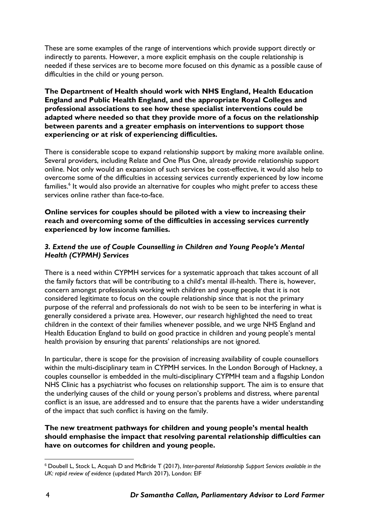These are some examples of the range of interventions which provide support directly or indirectly to parents. However, a more explicit emphasis on the couple relationship is needed if these services are to become more focused on this dynamic as a possible cause of difficulties in the child or young person.

**The Department of Health should work with NHS England, Health Education England and Public Health England, and the appropriate Royal Colleges and professional associations to see how these specialist interventions could be adapted where needed so that they provide more of a focus on the relationship between parents and a greater emphasis on interventions to support those experiencing or at risk of experiencing difficulties.**

There is considerable scope to expand relationship support by making more available online. Several providers, including Relate and One Plus One, already provide relationship support online. Not only would an expansion of such services be cost-effective, it would also help to overcome some of the difficulties in accessing services currently experienced by low income families.<sup>6</sup> It would also provide an alternative for couples who might prefer to access these services online rather than face-to-face.

## **Online services for couples should be piloted with a view to increasing their reach and overcoming some of the difficulties in accessing services currently experienced by low income families.**

## *3. Extend the use of Couple Counselling in Children and Young People's Mental Health (CYPMH) Services*

There is a need within CYPMH services for a systematic approach that takes account of all the family factors that will be contributing to a child's mental ill-health. There is, however, concern amongst professionals working with children and young people that it is not considered legitimate to focus on the couple relationship since that is not the primary purpose of the referral and professionals do not wish to be seen to be interfering in what is generally considered a private area. However, our research highlighted the need to treat children in the context of their families whenever possible, and we urge NHS England and Health Education England to build on good practice in children and young people's mental health provision by ensuring that parents' relationships are not ignored.

In particular, there is scope for the provision of increasing availability of couple counsellors within the multi-disciplinary team in CYPMH services. In the London Borough of Hackney, a couples counsellor is embedded in the multi-disciplinary CYPMH team and a flagship London NHS Clinic has a psychiatrist who focuses on relationship support. The aim is to ensure that the underlying causes of the child or young person's problems and distress, where parental conflict is an issue, are addressed and to ensure that the parents have a wider understanding of the impact that such conflict is having on the family.

#### **The new treatment pathways for children and young people's mental health should emphasise the impact that resolving parental relationship difficulties can have on outcomes for children and young people.**

<u>.</u>

<sup>6</sup> Doubell L, Stock L, Acquah D and McBride T (2017), *Inter-parental Relationship Support Services available in the UK: rapid review of evidence* (updated March 2017), London: EIF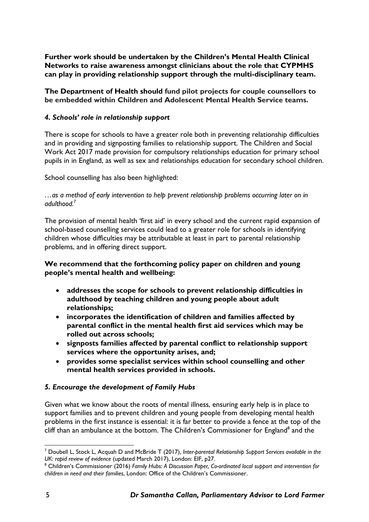**Further work should be undertaken by the Children's Mental Health Clinical Networks to raise awareness amongst clinicians about the role that CYPMHS can play in providing relationship support through the multi-disciplinary team.**

**The Department of Health should fund pilot projects for couple counsellors to be embedded within Children and Adolescent Mental Health Service teams.**

## *4. Schools' role in relationship support*

There is scope for schools to have a greater role both in preventing relationship difficulties and in providing and signposting families to relationship support. The Children and Social Work Act 2017 made provision for compulsory relationships education for primary school pupils in in England, as well as sex and relationships education for secondary school children.

School counselling has also been highlighted:

#### *…as a method of early intervention to help prevent relationship problems occurring later on in adulthood.*<sup>7</sup>

The provision of mental health 'first aid' in every school and the current rapid expansion of school-based counselling services could lead to a greater role for schools in identifying children whose difficulties may be attributable at least in part to parental relationship problems, and in offering direct support.

# **We recommend that the forthcoming policy paper on children and young people's mental health and wellbeing:**

- **addresses the scope for schools to prevent relationship difficulties in adulthood by teaching children and young people about adult relationships;**
- **incorporates the identification of children and families affected by parental conflict in the mental health first aid services which may be rolled out across schools;**
- **signposts families affected by parental conflict to relationship support services where the opportunity arises, and;**
- **provides some specialist services within school counselling and other mental health services provided in schools.**

## *5. Encourage the development of Family Hubs*

Given what we know about the roots of mental illness, ensuring early help is in place to support families and to prevent children and young people from developing mental health problems in the first instance is essential: it is far better to provide a fence at the top of the cliff than an ambulance at the bottom. The Children's Commissioner for England<sup>8</sup> and the

<sup>1</sup> <sup>7</sup> Doubell L, Stock L, Acquah D and McBride T (2017), *Inter-parental Relationship Support Services available in the UK: rapid review of evidence* (updated March 2017), London: EIF, p27.

<sup>8</sup> Children's Commissioner (2016) *Family Hubs: A Discussion Paper, Co-ordinated local support and intervention for children in need and their families*, London: Office of the Children's Commissioner.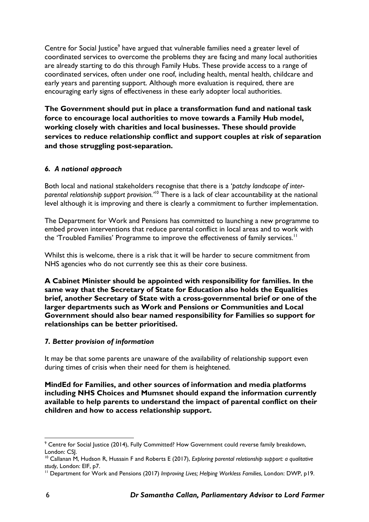Centre for Social Justice<sup>9</sup> have argued that vulnerable families need a greater level of coordinated services to overcome the problems they are facing and many local authorities are already starting to do this through Family Hubs. These provide access to a range of coordinated services, often under one roof, including health, mental health, childcare and early years and parenting support. Although more evaluation is required, there are encouraging early signs of effectiveness in these early adopter local authorities.

**The Government should put in place a transformation fund and national task force to encourage local authorities to move towards a Family Hub model, working closely with charities and local businesses. These should provide services to reduce relationship conflict and support couples at risk of separation and those struggling post-separation.**

# *6. A national approach*

Both local and national stakeholders recognise that there is a '*patchy landscape of interparental relationship support provision.'*<sup>10</sup> There is a lack of clear accountability at the national level although it is improving and there is clearly a commitment to further implementation.

The Department for Work and Pensions has committed to launching a new programme to embed proven interventions that reduce parental conflict in local areas and to work with the 'Troubled Families' Programme to improve the effectiveness of family services.<sup>11</sup>

Whilst this is welcome, there is a risk that it will be harder to secure commitment from NHS agencies who do not currently see this as their core business.

**A Cabinet Minister should be appointed with responsibility for families. In the same way that the Secretary of State for Education also holds the Equalities brief, another Secretary of State with a cross-governmental brief or one of the larger departments such as Work and Pensions or Communities and Local Government should also bear named responsibility for Families so support for relationships can be better prioritised.**

## *7. Better provision of information*

It may be that some parents are unaware of the availability of relationship support even during times of crisis when their need for them is heightened.

**MindEd for Families, and other sources of information and media platforms including NHS Choices and Mumsnet should expand the information currently available to help parents to understand the impact of parental conflict on their children and how to access relationship support.**

<sup>&</sup>lt;u>.</u> <sup>9</sup> Centre for Social Justice (2014), Fully Committed? How Government could reverse family breakdown, London: CSJ.

<sup>10</sup> Callanan M, Hudson R, Hussain F and Roberts E (2017), *Exploring parental relationship support: a qualitative study*, London: EIF, p7.

<sup>11</sup> Department for Work and Pensions (2017) *Improving Lives; Helping Workless Families*, London: DWP, p19.